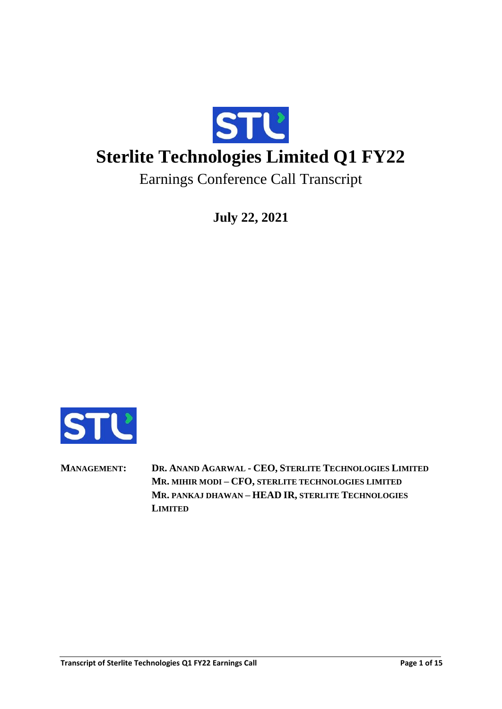

**July 22, 2021**



**MANAGEMENT: DR. ANAND AGARWAL - CEO, STERLITE TECHNOLOGIES LIMITED MR. MIHIR MODI – CFO, STERLITE TECHNOLOGIES LIMITED MR. PANKAJ DHAWAN – HEAD IR, STERLITE TECHNOLOGIES LIMITED**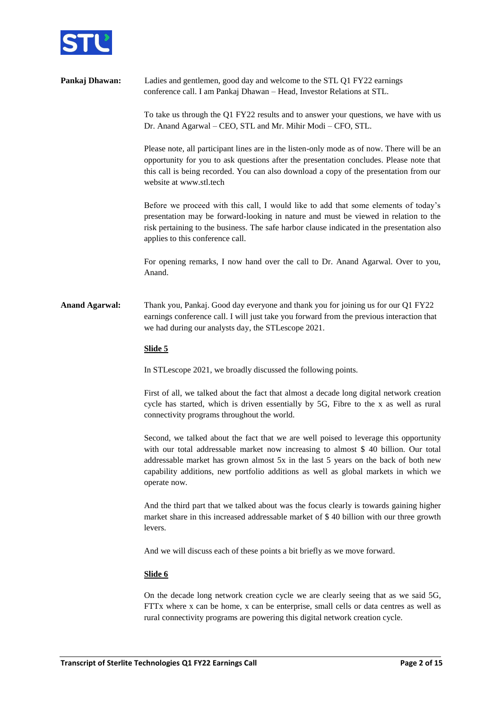

**Pankaj Dhawan:** Ladies and gentlemen, good day and welcome to the STL O1 FY22 earnings conference call. I am Pankaj Dhawan – Head, Investor Relations at STL. To take us through the Q1 FY22 results and to answer your questions, we have with us Dr. Anand Agarwal – CEO, STL and Mr. Mihir Modi – CFO, STL. Please note, all participant lines are in the listen-only mode as of now. There will be an opportunity for you to ask questions after the presentation concludes. Please note that this call is being recorded. You can also download a copy of the presentation from our website at [www.stl.tech](http://www.stl.tech/) Before we proceed with this call, I would like to add that some elements of today's presentation may be forward-looking in nature and must be viewed in relation to the risk pertaining to the business. The safe harbor clause indicated in the presentation also applies to this conference call.

> For opening remarks, I now hand over the call to Dr. Anand Agarwal. Over to you, Anand.

**Anand Agarwal:** Thank you, Pankaj. Good day everyone and thank you for joining us for our Q1 FY22 earnings conference call. I will just take you forward from the previous interaction that we had during our analysts day, the STLescope 2021.

### **Slide 5**

In STLescope 2021, we broadly discussed the following points.

First of all, we talked about the fact that almost a decade long digital network creation cycle has started, which is driven essentially by 5G, Fibre to the x as well as rural connectivity programs throughout the world.

Second, we talked about the fact that we are well poised to leverage this opportunity with our total addressable market now increasing to almost \$ 40 billion. Our total addressable market has grown almost 5x in the last 5 years on the back of both new capability additions, new portfolio additions as well as global markets in which we operate now.

And the third part that we talked about was the focus clearly is towards gaining higher market share in this increased addressable market of \$ 40 billion with our three growth levers.

And we will discuss each of these points a bit briefly as we move forward.

### **Slide 6**

On the decade long network creation cycle we are clearly seeing that as we said 5G, FTTx where x can be home, x can be enterprise, small cells or data centres as well as rural connectivity programs are powering this digital network creation cycle.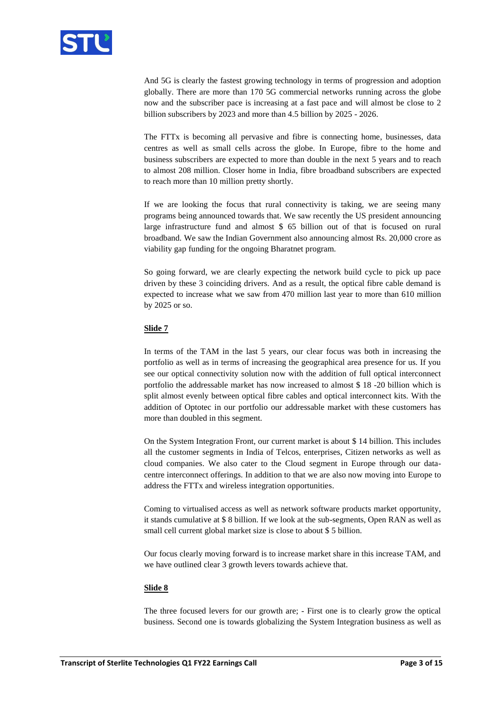

And 5G is clearly the fastest growing technology in terms of progression and adoption globally. There are more than 170 5G commercial networks running across the globe now and the subscriber pace is increasing at a fast pace and will almost be close to 2 billion subscribers by 2023 and more than 4.5 billion by 2025 - 2026.

The FTTx is becoming all pervasive and fibre is connecting home, businesses, data centres as well as small cells across the globe. In Europe, fibre to the home and business subscribers are expected to more than double in the next 5 years and to reach to almost 208 million. Closer home in India, fibre broadband subscribers are expected to reach more than 10 million pretty shortly.

If we are looking the focus that rural connectivity is taking, we are seeing many programs being announced towards that. We saw recently the US president announcing large infrastructure fund and almost \$ 65 billion out of that is focused on rural broadband. We saw the Indian Government also announcing almost Rs. 20,000 crore as viability gap funding for the ongoing Bharatnet program.

So going forward, we are clearly expecting the network build cycle to pick up pace driven by these 3 coinciding drivers. And as a result, the optical fibre cable demand is expected to increase what we saw from 470 million last year to more than 610 million by 2025 or so.

### **Slide 7**

In terms of the TAM in the last 5 years, our clear focus was both in increasing the portfolio as well as in terms of increasing the geographical area presence for us. If you see our optical connectivity solution now with the addition of full optical interconnect portfolio the addressable market has now increased to almost \$ 18 -20 billion which is split almost evenly between optical fibre cables and optical interconnect kits. With the addition of Optotec in our portfolio our addressable market with these customers has more than doubled in this segment.

On the System Integration Front, our current market is about \$ 14 billion. This includes all the customer segments in India of Telcos, enterprises, Citizen networks as well as cloud companies. We also cater to the Cloud segment in Europe through our datacentre interconnect offerings. In addition to that we are also now moving into Europe to address the FTTx and wireless integration opportunities.

Coming to virtualised access as well as network software products market opportunity, it stands cumulative at \$ 8 billion. If we look at the sub-segments, Open RAN as well as small cell current global market size is close to about \$ 5 billion.

Our focus clearly moving forward is to increase market share in this increase TAM, and we have outlined clear 3 growth levers towards achieve that.

### **Slide 8**

The three focused levers for our growth are; - First one is to clearly grow the optical business. Second one is towards globalizing the System Integration business as well as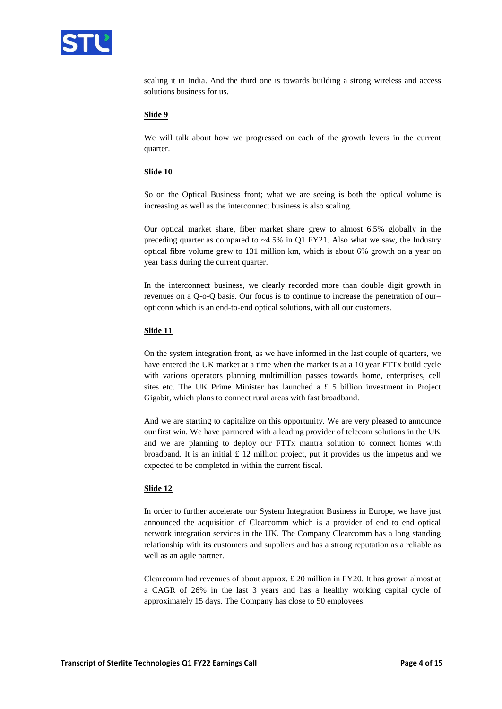

scaling it in India. And the third one is towards building a strong wireless and access solutions business for us.

### **Slide 9**

We will talk about how we progressed on each of the growth levers in the current quarter.

#### **Slide 10**

So on the Optical Business front; what we are seeing is both the optical volume is increasing as well as the interconnect business is also scaling.

Our optical market share, fiber market share grew to almost 6.5% globally in the preceding quarter as compared to  $~4.5\%$  in Q1 FY21. Also what we saw, the Industry optical fibre volume grew to 131 million km, which is about 6% growth on a year on year basis during the current quarter.

In the interconnect business, we clearly recorded more than double digit growth in revenues on a Q-o-Q basis. Our focus is to continue to increase the penetration of our– opticonn which is an end-to-end optical solutions, with all our customers.

#### **Slide 11**

On the system integration front, as we have informed in the last couple of quarters, we have entered the UK market at a time when the market is at a 10 year FTTx build cycle with various operators planning multimillion passes towards home, enterprises, cell sites etc. The UK Prime Minister has launched a  $\pounds$  5 billion investment in Project Gigabit, which plans to connect rural areas with fast broadband.

And we are starting to capitalize on this opportunity. We are very pleased to announce our first win. We have partnered with a leading provider of telecom solutions in the UK and we are planning to deploy our FTTx mantra solution to connect homes with broadband. It is an initial  $\pounds$  12 million project, put it provides us the impetus and we expected to be completed in within the current fiscal.

#### **Slide 12**

In order to further accelerate our System Integration Business in Europe, we have just announced the acquisition of Clearcomm which is a provider of end to end optical network integration services in the UK. The Company Clearcomm has a long standing relationship with its customers and suppliers and has a strong reputation as a reliable as well as an agile partner.

Clearcomm had revenues of about approx.  $\pounds$  20 million in FY20. It has grown almost at a CAGR of 26% in the last 3 years and has a healthy working capital cycle of approximately 15 days. The Company has close to 50 employees.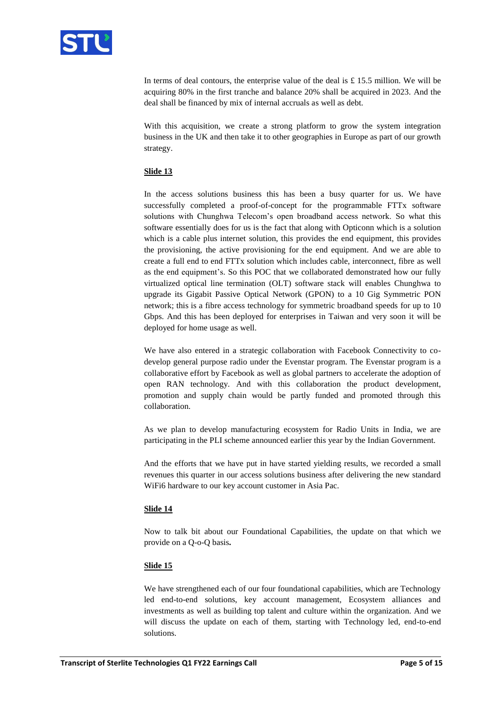

In terms of deal contours, the enterprise value of the deal is  $\pounds$  15.5 million. We will be acquiring 80% in the first tranche and balance 20% shall be acquired in 2023. And the deal shall be financed by mix of internal accruals as well as debt.

With this acquisition, we create a strong platform to grow the system integration business in the UK and then take it to other geographies in Europe as part of our growth strategy.

# **Slide 13**

In the access solutions business this has been a busy quarter for us. We have successfully completed a proof-of-concept for the programmable FTTx software solutions with Chunghwa Telecom's open broadband access network. So what this software essentially does for us is the fact that along with Opticonn which is a solution which is a cable plus internet solution, this provides the end equipment, this provides the provisioning, the active provisioning for the end equipment. And we are able to create a full end to end FTTx solution which includes cable, interconnect, fibre as well as the end equipment's. So this POC that we collaborated demonstrated how our fully virtualized optical line termination (OLT) software stack will enables Chunghwa to upgrade its Gigabit Passive Optical Network (GPON) to a 10 Gig Symmetric PON network; this is a fibre access technology for symmetric broadband speeds for up to 10 Gbps. And this has been deployed for enterprises in Taiwan and very soon it will be deployed for home usage as well.

We have also entered in a strategic collaboration with Facebook Connectivity to codevelop general purpose radio under the Evenstar program. The Evenstar program is a collaborative effort by Facebook as well as global partners to accelerate the adoption of open RAN technology. And with this collaboration the product development, promotion and supply chain would be partly funded and promoted through this collaboration.

As we plan to develop manufacturing ecosystem for Radio Units in India, we are participating in the PLI scheme announced earlier this year by the Indian Government.

And the efforts that we have put in have started yielding results, we recorded a small revenues this quarter in our access solutions business after delivering the new standard WiFi6 hardware to our key account customer in Asia Pac.

### **Slide 14**

Now to talk bit about our Foundational Capabilities, the update on that which we provide on a Q-o-Q basis**.** 

### **Slide 15**

We have strengthened each of our four foundational capabilities, which are Technology led end-to-end solutions, key account management, Ecosystem alliances and investments as well as building top talent and culture within the organization. And we will discuss the update on each of them, starting with Technology led, end-to-end solutions.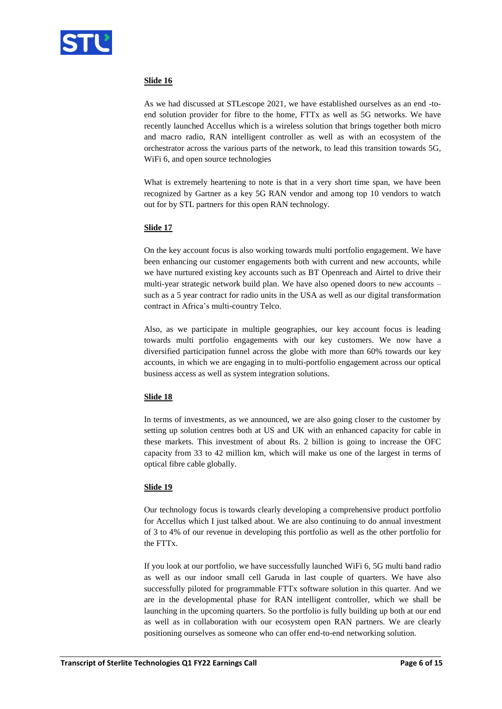

# **Slide 16**

As we had discussed at STLescope 2021, we have established ourselves as an end -toend solution provider for fibre to the home, FTTx as well as 5G networks. We have recently launched Accellus which is a wireless solution that brings together both micro and macro radio, RAN intelligent controller as well as with an ecosystem of the orchestrator across the various parts of the network, to lead this transition towards 5G, WiFi 6, and open source technologies

What is extremely heartening to note is that in a very short time span, we have been recognized by Gartner as a key 5G RAN vendor and among top 10 vendors to watch out for by STL partners for this open RAN technology.

# **Slide 17**

On the key account focus is also working towards multi portfolio engagement. We have been enhancing our customer engagements both with current and new accounts, while we have nurtured existing key accounts such as BT Openreach and Airtel to drive their multi-year strategic network build plan. We have also opened doors to new accounts – such as a 5 year contract for radio units in the USA as well as our digital transformation contract in Africa's multi-country Telco.

Also, as we participate in multiple geographies, our key account focus is leading towards multi portfolio engagements with our key customers. We now have a diversified participation funnel across the globe with more than 60% towards our key accounts, in which we are engaging in to multi-portfolio engagement across our optical business access as well as system integration solutions.

# **Slide 18**

In terms of investments, as we announced, we are also going closer to the customer by setting up solution centres both at US and UK with an enhanced capacity for cable in these markets. This investment of about Rs. 2 billion is going to increase the OFC capacity from 33 to 42 million km, which will make us one of the largest in terms of optical fibre cable globally.

# **Slide 19**

Our technology focus is towards clearly developing a comprehensive product portfolio for Accellus which I just talked about. We are also continuing to do annual investment of 3 to 4% of our revenue in developing this portfolio as well as the other portfolio for the FTTx.

If you look at our portfolio, we have successfully launched WiFi 6, 5G multi band radio as well as our indoor small cell Garuda in last couple of quarters. We have also successfully piloted for programmable FTTx software solution in this quarter. And we are in the developmental phase for RAN intelligent controller, which we shall be launching in the upcoming quarters. So the portfolio is fully building up both at our end as well as in collaboration with our ecosystem open RAN partners. We are clearly positioning ourselves as someone who can offer end-to-end networking solution.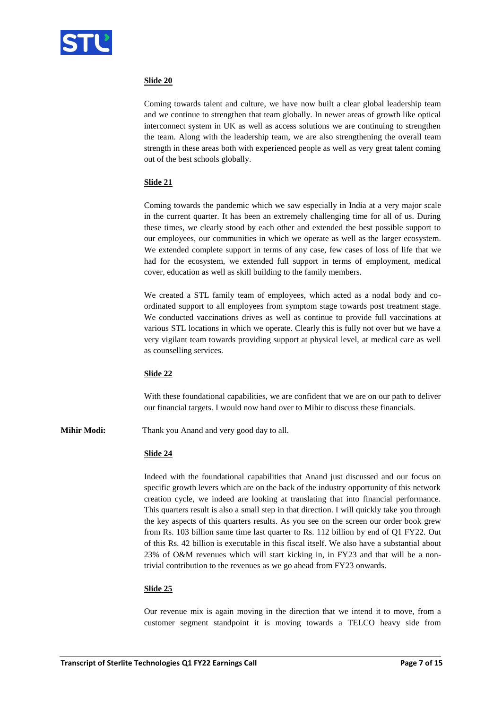

# **Slide 20**

Coming towards talent and culture, we have now built a clear global leadership team and we continue to strengthen that team globally. In newer areas of growth like optical interconnect system in UK as well as access solutions we are continuing to strengthen the team. Along with the leadership team, we are also strengthening the overall team strength in these areas both with experienced people as well as very great talent coming out of the best schools globally.

### **Slide 21**

Coming towards the pandemic which we saw especially in India at a very major scale in the current quarter. It has been an extremely challenging time for all of us. During these times, we clearly stood by each other and extended the best possible support to our employees, our communities in which we operate as well as the larger ecosystem. We extended complete support in terms of any case, few cases of loss of life that we had for the ecosystem, we extended full support in terms of employment, medical cover, education as well as skill building to the family members.

We created a STL family team of employees, which acted as a nodal body and coordinated support to all employees from symptom stage towards post treatment stage. We conducted vaccinations drives as well as continue to provide full vaccinations at various STL locations in which we operate. Clearly this is fully not over but we have a very vigilant team towards providing support at physical level, at medical care as well as counselling services.

### **Slide 22**

With these foundational capabilities, we are confident that we are on our path to deliver our financial targets. I would now hand over to Mihir to discuss these financials.

**Mihir Modi:** Thank you Anand and very good day to all.

### **Slide 24**

Indeed with the foundational capabilities that Anand just discussed and our focus on specific growth levers which are on the back of the industry opportunity of this network creation cycle, we indeed are looking at translating that into financial performance. This quarters result is also a small step in that direction. I will quickly take you through the key aspects of this quarters results. As you see on the screen our order book grew from Rs. 103 billion same time last quarter to Rs. 112 billion by end of Q1 FY22. Out of this Rs. 42 billion is executable in this fiscal itself. We also have a substantial about 23% of O&M revenues which will start kicking in, in FY23 and that will be a nontrivial contribution to the revenues as we go ahead from FY23 onwards.

### **Slide 25**

Our revenue mix is again moving in the direction that we intend it to move, from a customer segment standpoint it is moving towards a TELCO heavy side from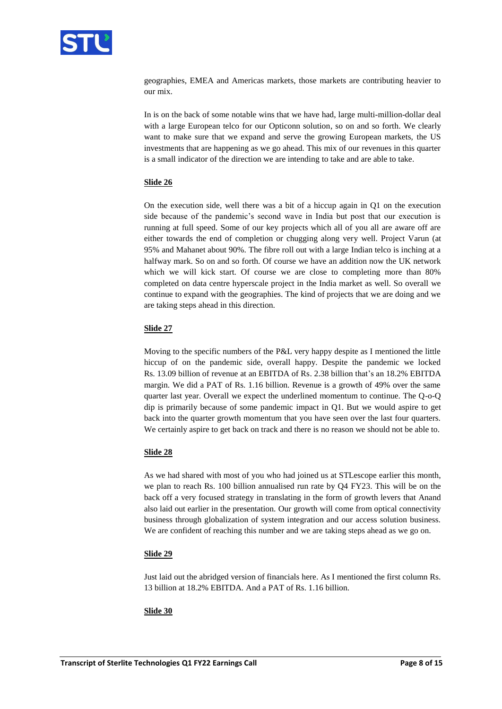

geographies, EMEA and Americas markets, those markets are contributing heavier to our mix.

In is on the back of some notable wins that we have had, large multi-million-dollar deal with a large European telco for our Opticonn solution, so on and so forth. We clearly want to make sure that we expand and serve the growing European markets, the US investments that are happening as we go ahead. This mix of our revenues in this quarter is a small indicator of the direction we are intending to take and are able to take.

### **Slide 26**

On the execution side, well there was a bit of a hiccup again in Q1 on the execution side because of the pandemic's second wave in India but post that our execution is running at full speed. Some of our key projects which all of you all are aware off are either towards the end of completion or chugging along very well. Project Varun (at 95% and Mahanet about 90%. The fibre roll out with a large Indian telco is inching at a halfway mark. So on and so forth. Of course we have an addition now the UK network which we will kick start. Of course we are close to completing more than 80% completed on data centre hyperscale project in the India market as well. So overall we continue to expand with the geographies. The kind of projects that we are doing and we are taking steps ahead in this direction.

### **Slide 27**

Moving to the specific numbers of the P&L very happy despite as I mentioned the little hiccup of on the pandemic side, overall happy. Despite the pandemic we locked Rs. 13.09 billion of revenue at an EBITDA of Rs. 2.38 billion that's an 18.2% EBITDA margin. We did a PAT of Rs. 1.16 billion. Revenue is a growth of 49% over the same quarter last year. Overall we expect the underlined momentum to continue. The Q-o-Q dip is primarily because of some pandemic impact in Q1. But we would aspire to get back into the quarter growth momentum that you have seen over the last four quarters. We certainly aspire to get back on track and there is no reason we should not be able to.

### **Slide 28**

As we had shared with most of you who had joined us at STLescope earlier this month, we plan to reach Rs. 100 billion annualised run rate by Q4 FY23. This will be on the back off a very focused strategy in translating in the form of growth levers that Anand also laid out earlier in the presentation. Our growth will come from optical connectivity business through globalization of system integration and our access solution business. We are confident of reaching this number and we are taking steps ahead as we go on.

# **Slide 29**

Just laid out the abridged version of financials here. As I mentioned the first column Rs. 13 billion at 18.2% EBITDA. And a PAT of Rs. 1.16 billion.

### **Slide 30**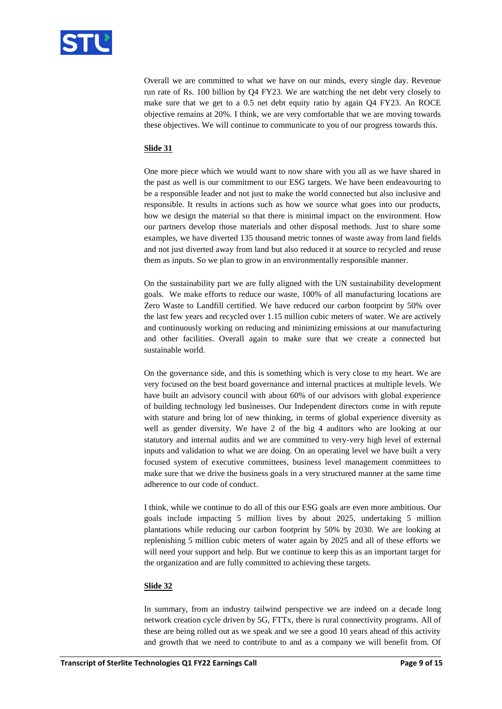

Overall we are committed to what we have on our minds, every single day. Revenue run rate of Rs. 100 billion by Q4 FY23. We are watching the net debt very closely to make sure that we get to a 0.5 net debt equity ratio by again Q4 FY23. An ROCE objective remains at 20%. I think, we are very comfortable that we are moving towards these objectives. We will continue to communicate to you of our progress towards this.

# **Slide 31**

One more piece which we would want to now share with you all as we have shared in the past as well is our commitment to our ESG targets. We have been endeavouring to be a responsible leader and not just to make the world connected but also inclusive and responsible. It results in actions such as how we source what goes into our products, how we design the material so that there is minimal impact on the environment. How our partners develop those materials and other disposal methods. Just to share some examples, we have diverted 135 thousand metric tonnes of waste away from land fields and not just diverted away from land but also reduced it at source to recycled and reuse them as inputs. So we plan to grow in an environmentally responsible manner.

On the sustainability part we are fully aligned with the UN sustainability development goals. We make efforts to reduce our waste, 100% of all manufacturing locations are Zero Waste to Landfill certified. We have reduced our carbon footprint by 50% over the last few years and recycled over 1.15 million cubic meters of water. We are actively and continuously working on reducing and minimizing emissions at our manufacturing and other facilities. Overall again to make sure that we create a connected but sustainable world.

On the governance side, and this is something which is very close to my heart. We are very focused on the best board governance and internal practices at multiple levels. We have built an advisory council with about 60% of our advisors with global experience of building technology led businesses. Our Independent directors come in with repute with stature and bring lot of new thinking, in terms of global experience diversity as well as gender diversity. We have 2 of the big 4 auditors who are looking at our statutory and internal audits and we are committed to very-very high level of external inputs and validation to what we are doing. On an operating level we have built a very focused system of executive committees, business level management committees to make sure that we drive the business goals in a very structured manner at the same time adherence to our code of conduct.

I think, while we continue to do all of this our ESG goals are even more ambitious. Our goals include impacting 5 million lives by about 2025, undertaking 5 million plantations while reducing our carbon footprint by 50% by 2030. We are looking at replenishing 5 million cubic meters of water again by 2025 and all of these efforts we will need your support and help. But we continue to keep this as an important target for the organization and are fully committed to achieving these targets.

### **Slide 32**

In summary, from an industry tailwind perspective we are indeed on a decade long network creation cycle driven by 5G, FTTx, there is rural connectivity programs. All of these are being rolled out as we speak and we see a good 10 years ahead of this activity and growth that we need to contribute to and as a company we will benefit from. Of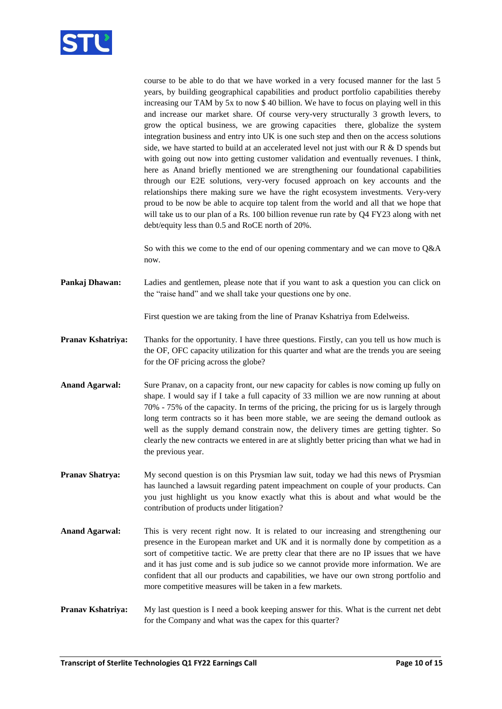

course to be able to do that we have worked in a very focused manner for the last 5 years, by building geographical capabilities and product portfolio capabilities thereby increasing our TAM by 5x to now \$ 40 billion. We have to focus on playing well in this and increase our market share. Of course very-very structurally 3 growth levers, to grow the optical business, we are growing capacities there, globalize the system integration business and entry into UK is one such step and then on the access solutions side, we have started to build at an accelerated level not just with our  $R \& D$  spends but with going out now into getting customer validation and eventually revenues. I think, here as Anand briefly mentioned we are strengthening our foundational capabilities through our E2E solutions, very-very focused approach on key accounts and the relationships there making sure we have the right ecosystem investments. Very-very proud to be now be able to acquire top talent from the world and all that we hope that will take us to our plan of a Rs. 100 billion revenue run rate by Q4 FY23 along with net debt/equity less than 0.5 and RoCE north of 20%.

So with this we come to the end of our opening commentary and we can move to Q&A now.

**Pankaj Dhawan:** Ladies and gentlemen, please note that if you want to ask a question you can click on the "raise hand" and we shall take your questions one by one.

First question we are taking from the line of Pranav Kshatriya from Edelweiss.

**Pranav Kshatriya:** Thanks for the opportunity. I have three questions. Firstly, can you tell us how much is the OF, OFC capacity utilization for this quarter and what are the trends you are seeing for the OF pricing across the globe?

**Anand Agarwal:** Sure Pranav, on a capacity front, our new capacity for cables is now coming up fully on shape. I would say if I take a full capacity of 33 million we are now running at about 70% - 75% of the capacity. In terms of the pricing, the pricing for us is largely through long term contracts so it has been more stable, we are seeing the demand outlook as well as the supply demand constrain now, the delivery times are getting tighter. So clearly the new contracts we entered in are at slightly better pricing than what we had in the previous year.

**Pranav Shatrya:** My second question is on this Prysmian law suit, today we had this news of Prysmian has launched a lawsuit regarding patent impeachment on couple of your products. Can you just highlight us you know exactly what this is about and what would be the contribution of products under litigation?

**Anand Agarwal:** This is very recent right now. It is related to our increasing and strengthening our presence in the European market and UK and it is normally done by competition as a sort of competitive tactic. We are pretty clear that there are no IP issues that we have and it has just come and is sub judice so we cannot provide more information. We are confident that all our products and capabilities, we have our own strong portfolio and more competitive measures will be taken in a few markets.

**Pranav Kshatriya:** My last question is I need a book keeping answer for this. What is the current net debt for the Company and what was the capex for this quarter?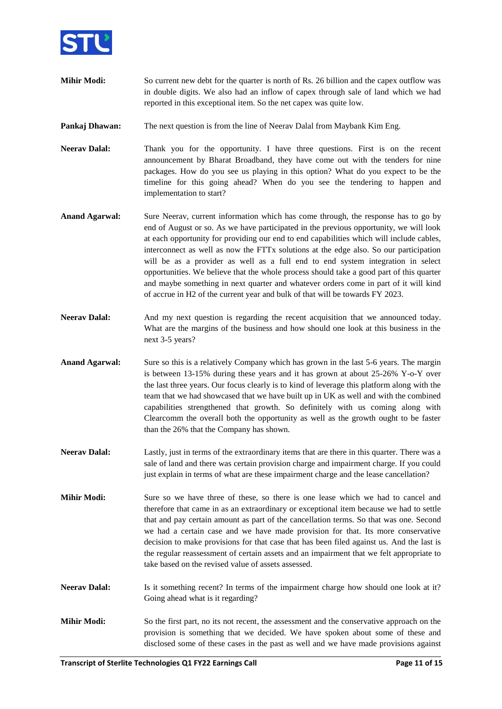

- **Mihir Modi:** So current new debt for the quarter is north of Rs. 26 billion and the capex outflow was in double digits. We also had an inflow of capex through sale of land which we had reported in this exceptional item. So the net capex was quite low.
- **Pankaj Dhawan:** The next question is from the line of Neerav Dalal from Maybank Kim Eng.
- **Neerav Dalal:** Thank you for the opportunity. I have three questions. First is on the recent announcement by Bharat Broadband, they have come out with the tenders for nine packages. How do you see us playing in this option? What do you expect to be the timeline for this going ahead? When do you see the tendering to happen and implementation to start?
- **Anand Agarwal:** Sure Neerav, current information which has come through, the response has to go by end of August or so. As we have participated in the previous opportunity, we will look at each opportunity for providing our end to end capabilities which will include cables, interconnect as well as now the FTTx solutions at the edge also. So our participation will be as a provider as well as a full end to end system integration in select opportunities. We believe that the whole process should take a good part of this quarter and maybe something in next quarter and whatever orders come in part of it will kind of accrue in H2 of the current year and bulk of that will be towards FY 2023.
- Neerav Dalal: And my next question is regarding the recent acquisition that we announced today. What are the margins of the business and how should one look at this business in the next 3-5 years?
- **Anand Agarwal:** Sure so this is a relatively Company which has grown in the last 5-6 years. The margin is between 13-15% during these years and it has grown at about 25-26% Y-o-Y over the last three years. Our focus clearly is to kind of leverage this platform along with the team that we had showcased that we have built up in UK as well and with the combined capabilities strengthened that growth. So definitely with us coming along with Clearcomm the overall both the opportunity as well as the growth ought to be faster than the 26% that the Company has shown.
- **Neerav Dalal:** Lastly, just in terms of the extraordinary items that are there in this quarter. There was a sale of land and there was certain provision charge and impairment charge. If you could just explain in terms of what are these impairment charge and the lease cancellation?
- **Mihir Modi:** Sure so we have three of these, so there is one lease which we had to cancel and therefore that came in as an extraordinary or exceptional item because we had to settle that and pay certain amount as part of the cancellation terms. So that was one. Second we had a certain case and we have made provision for that. Its more conservative decision to make provisions for that case that has been filed against us. And the last is the regular reassessment of certain assets and an impairment that we felt appropriate to take based on the revised value of assets assessed.
- **Neerav Dalal:** Is it something recent? In terms of the impairment charge how should one look at it? Going ahead what is it regarding?
- **Mihir Modi:** So the first part, no its not recent, the assessment and the conservative approach on the provision is something that we decided. We have spoken about some of these and disclosed some of these cases in the past as well and we have made provisions against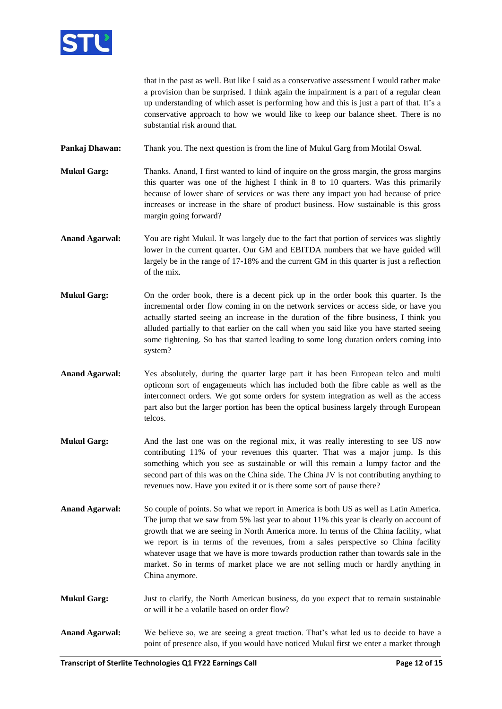

that in the past as well. But like I said as a conservative assessment I would rather make a provision than be surprised. I think again the impairment is a part of a regular clean up understanding of which asset is performing how and this is just a part of that. It's a conservative approach to how we would like to keep our balance sheet. There is no substantial risk around that.

**Pankaj Dhawan:** Thank you. The next question is from the line of Mukul Garg from Motilal Oswal.

- **Mukul Garg:** Thanks. Anand, I first wanted to kind of inquire on the gross margin, the gross margins this quarter was one of the highest I think in 8 to 10 quarters. Was this primarily because of lower share of services or was there any impact you had because of price increases or increase in the share of product business. How sustainable is this gross margin going forward?
- **Anand Agarwal:** You are right Mukul. It was largely due to the fact that portion of services was slightly lower in the current quarter. Our GM and EBITDA numbers that we have guided will largely be in the range of 17-18% and the current GM in this quarter is just a reflection of the mix.
- **Mukul Garg:** On the order book, there is a decent pick up in the order book this quarter. Is the incremental order flow coming in on the network services or access side, or have you actually started seeing an increase in the duration of the fibre business, I think you alluded partially to that earlier on the call when you said like you have started seeing some tightening. So has that started leading to some long duration orders coming into system?
- **Anand Agarwal:** Yes absolutely, during the quarter large part it has been European telco and multi opticonn sort of engagements which has included both the fibre cable as well as the interconnect orders. We got some orders for system integration as well as the access part also but the larger portion has been the optical business largely through European telcos.
- **Mukul Garg:** And the last one was on the regional mix, it was really interesting to see US now contributing 11% of your revenues this quarter. That was a major jump. Is this something which you see as sustainable or will this remain a lumpy factor and the second part of this was on the China side. The China JV is not contributing anything to revenues now. Have you exited it or is there some sort of pause there?
- **Anand Agarwal:** So couple of points. So what we report in America is both US as well as Latin America. The jump that we saw from 5% last year to about 11% this year is clearly on account of growth that we are seeing in North America more. In terms of the China facility, what we report is in terms of the revenues, from a sales perspective so China facility whatever usage that we have is more towards production rather than towards sale in the market. So in terms of market place we are not selling much or hardly anything in China anymore.
- **Mukul Garg:** Just to clarify, the North American business, do you expect that to remain sustainable or will it be a volatile based on order flow?
- **Anand Agarwal:** We believe so, we are seeing a great traction. That's what led us to decide to have a point of presence also, if you would have noticed Mukul first we enter a market through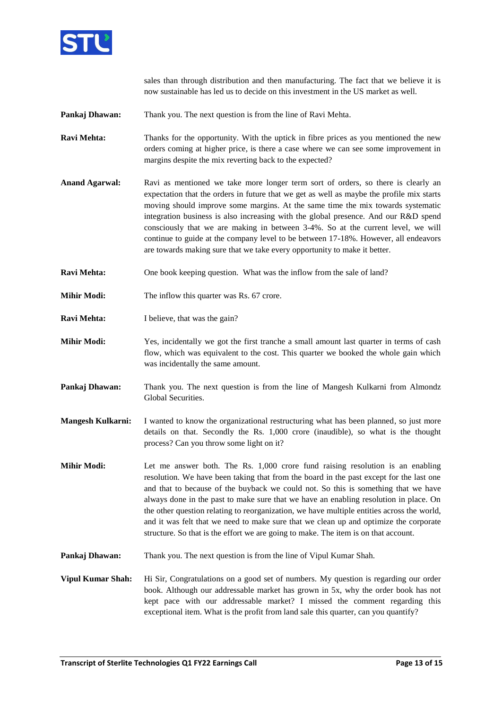

sales than through distribution and then manufacturing. The fact that we believe it is now sustainable has led us to decide on this investment in the US market as well.

- **Pankaj Dhawan:** Thank you. The next question is from the line of Ravi Mehta.
- **Ravi Mehta:** Thanks for the opportunity. With the uptick in fibre prices as you mentioned the new orders coming at higher price, is there a case where we can see some improvement in margins despite the mix reverting back to the expected?
- Anand Agarwal: Ravi as mentioned we take more longer term sort of orders, so there is clearly an expectation that the orders in future that we get as well as maybe the profile mix starts moving should improve some margins. At the same time the mix towards systematic integration business is also increasing with the global presence. And our R&D spend consciously that we are making in between 3-4%. So at the current level, we will continue to guide at the company level to be between 17-18%. However, all endeavors are towards making sure that we take every opportunity to make it better.
- **Ravi Mehta:** One book keeping question. What was the inflow from the sale of land?
- **Mihir Modi:** The inflow this quarter was Rs. 67 crore.
- **Ravi Mehta:** I believe, that was the gain?
- **Mihir Modi:** Yes, incidentally we got the first tranche a small amount last quarter in terms of cash flow, which was equivalent to the cost. This quarter we booked the whole gain which was incidentally the same amount.
- **Pankaj Dhawan:** Thank you. The next question is from the line of Mangesh Kulkarni from Almondz Global Securities.
- **Mangesh Kulkarni:** I wanted to know the organizational restructuring what has been planned, so just more details on that. Secondly the Rs. 1,000 crore (inaudible), so what is the thought process? Can you throw some light on it?
- **Mihir Modi:** Let me answer both. The Rs. 1,000 crore fund raising resolution is an enabling resolution. We have been taking that from the board in the past except for the last one and that to because of the buyback we could not. So this is something that we have always done in the past to make sure that we have an enabling resolution in place. On the other question relating to reorganization, we have multiple entities across the world, and it was felt that we need to make sure that we clean up and optimize the corporate structure. So that is the effort we are going to make. The item is on that account.
- **Pankaj Dhawan:** Thank you. The next question is from the line of Vipul Kumar Shah.
- **Vipul Kumar Shah:** Hi Sir, Congratulations on a good set of numbers. My question is regarding our order book. Although our addressable market has grown in 5x, why the order book has not kept pace with our addressable market? I missed the comment regarding this exceptional item. What is the profit from land sale this quarter, can you quantify?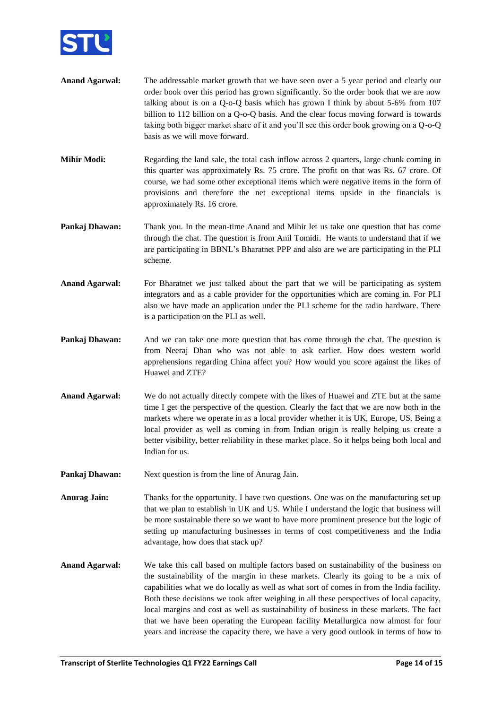

- **Anand Agarwal:** The addressable market growth that we have seen over a 5 year period and clearly our order book over this period has grown significantly. So the order book that we are now talking about is on a Q-o-Q basis which has grown I think by about 5-6% from 107 billion to 112 billion on a Q-o-Q basis. And the clear focus moving forward is towards taking both bigger market share of it and you'll see this order book growing on a Q-o-Q basis as we will move forward.
- **Mihir Modi:** Regarding the land sale, the total cash inflow across 2 quarters, large chunk coming in this quarter was approximately Rs. 75 crore. The profit on that was Rs. 67 crore. Of course, we had some other exceptional items which were negative items in the form of provisions and therefore the net exceptional items upside in the financials is approximately Rs. 16 crore.
- **Pankaj Dhawan:** Thank you. In the mean-time Anand and Mihir let us take one question that has come through the chat. The question is from Anil Tomidi. He wants to understand that if we are participating in BBNL's Bharatnet PPP and also are we are participating in the PLI scheme.
- **Anand Agarwal:** For Bharatnet we just talked about the part that we will be participating as system integrators and as a cable provider for the opportunities which are coming in. For PLI also we have made an application under the PLI scheme for the radio hardware. There is a participation on the PLI as well.
- **Pankaj Dhawan:** And we can take one more question that has come through the chat. The question is from Neeraj Dhan who was not able to ask earlier. How does western world apprehensions regarding China affect you? How would you score against the likes of Huawei and ZTE?
- **Anand Agarwal:** We do not actually directly compete with the likes of Huawei and ZTE but at the same time I get the perspective of the question. Clearly the fact that we are now both in the markets where we operate in as a local provider whether it is UK, Europe, US. Being a local provider as well as coming in from Indian origin is really helping us create a better visibility, better reliability in these market place. So it helps being both local and Indian for us.
- **Pankaj Dhawan:** Next question is from the line of Anurag Jain.
- **Anurag Jain:** Thanks for the opportunity. I have two questions. One was on the manufacturing set up that we plan to establish in UK and US. While I understand the logic that business will be more sustainable there so we want to have more prominent presence but the logic of setting up manufacturing businesses in terms of cost competitiveness and the India advantage, how does that stack up?
- **Anand Agarwal:** We take this call based on multiple factors based on sustainability of the business on the sustainability of the margin in these markets. Clearly its going to be a mix of capabilities what we do locally as well as what sort of comes in from the India facility. Both these decisions we took after weighing in all these perspectives of local capacity, local margins and cost as well as sustainability of business in these markets. The fact that we have been operating the European facility Metallurgica now almost for four years and increase the capacity there, we have a very good outlook in terms of how to